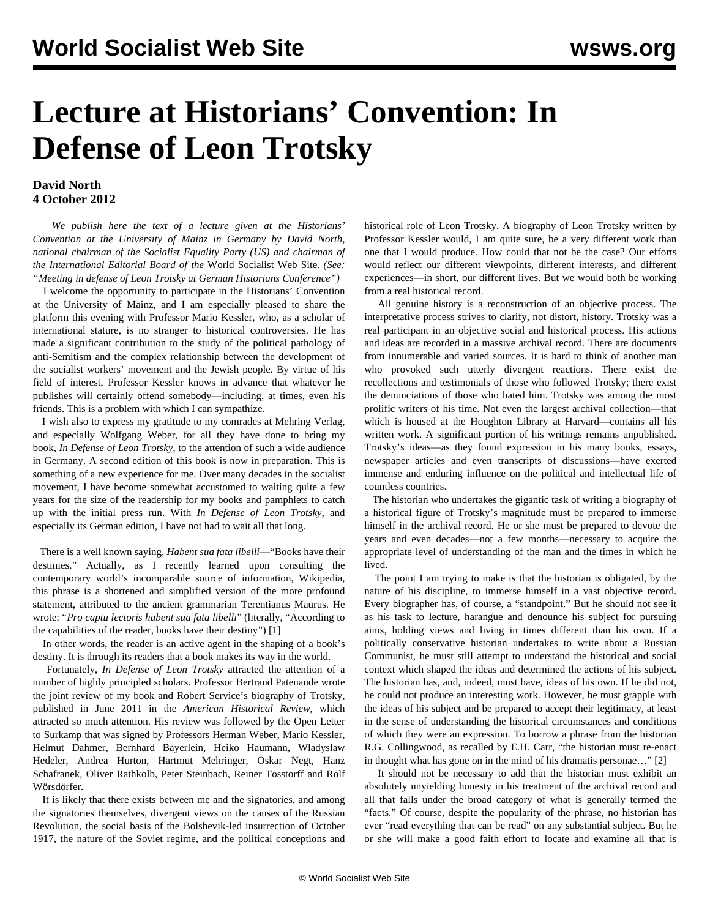## <span id="page-0-0"></span>**Lecture at Historians' Convention: In Defense of Leon Trotsky**

## **David North 4 October 2012**

 *We publish here the text of a lecture given at the Historians' Convention at the University of Mainz in Germany by David North, national chairman of the Socialist Equality Party (US) and chairman of the International Editorial Board of the* World Socialist Web Site*. (See: ["Meeting in defense of Leon Trotsky at German Historians Conference](/en/articles/2012/sep2012/main-s29.shtml)")*

 I welcome the opportunity to participate in the Historians' Convention at the University of Mainz, and I am especially pleased to share the platform this evening with Professor Mario Kessler, who, as a scholar of international stature, is no stranger to historical controversies. He has made a significant contribution to the study of the political pathology of anti-Semitism and the complex relationship between the development of the socialist workers' movement and the Jewish people. By virtue of his field of interest, Professor Kessler knows in advance that whatever he publishes will certainly offend somebody—including, at times, even his friends. This is a problem with which I can sympathize.

 I wish also to express my gratitude to my comrades at Mehring Verlag, and especially Wolfgang Weber, for all they have done to bring my book, *In Defense of Leon Trotsky*, to the attention of such a wide audience in Germany. A second edition of this book is now in preparation. This is something of a new experience for me. Over many decades in the socialist movement, I have become somewhat accustomed to waiting quite a few years for the size of the readership for my books and pamphlets to catch up with the initial press run. With *In Defense of Leon Trotsky*, and especially its German edition, I have not had to wait all that long.

 There is a well known saying, *Habent sua fata libelli*—"Books have their destinies." Actually, as I recently learned upon consulting the contemporary world's incomparable source of information, Wikipedia, this phrase is a shortened and simplified version of the more profound statement, attributed to the ancient grammarian Terentianus Maurus. He wrote: "*Pro captu lectoris habent sua fata libelli*" (literally, "According to the capabilities of the reader, books have their destiny") [[1](#page-0-0)]

 In other words, the reader is an active agent in the shaping of a book's destiny. It is through its readers that a book makes its way in the world.

 Fortunately, *In Defense of Leon Trotsky* attracted the attention of a number of highly principled scholars. Professor Bertrand Patenaude wrote the joint review of my book and Robert Service's biography of Trotsky, published in June 2011 in the *American Historical Review*, which attracted so much attention. His review was followed by the Open Letter to Surkamp that was signed by Professors Herman Weber, Mario Kessler, Helmut Dahmer, Bernhard Bayerlein, Heiko Haumann, Wladyslaw Hedeler, Andrea Hurton, Hartmut Mehringer, Oskar Negt, Hanz Schafranek, Oliver Rathkolb, Peter Steinbach, Reiner Tosstorff and Rolf Wörsdörfer.

 It is likely that there exists between me and the signatories, and among the signatories themselves, divergent views on the causes of the Russian Revolution, the social basis of the Bolshevik-led insurrection of October 1917, the nature of the Soviet regime, and the political conceptions and historical role of Leon Trotsky. A biography of Leon Trotsky written by Professor Kessler would, I am quite sure, be a very different work than one that I would produce. How could that not be the case? Our efforts would reflect our different viewpoints, different interests, and different experiences—in short, our different lives. But we would both be working from a real historical record.

 All genuine history is a reconstruction of an objective process. The interpretative process strives to clarify, not distort, history. Trotsky was a real participant in an objective social and historical process. His actions and ideas are recorded in a massive archival record. There are documents from innumerable and varied sources. It is hard to think of another man who provoked such utterly divergent reactions. There exist the recollections and testimonials of those who followed Trotsky; there exist the denunciations of those who hated him. Trotsky was among the most prolific writers of his time. Not even the largest archival collection—that which is housed at the Houghton Library at Harvard—contains all his written work. A significant portion of his writings remains unpublished. Trotsky's ideas—as they found expression in his many books, essays, newspaper articles and even transcripts of discussions—have exerted immense and enduring influence on the political and intellectual life of countless countries.

 The historian who undertakes the gigantic task of writing a biography of a historical figure of Trotsky's magnitude must be prepared to immerse himself in the archival record. He or she must be prepared to devote the years and even decades—not a few months—necessary to acquire the appropriate level of understanding of the man and the times in which he lived.

 The point I am trying to make is that the historian is obligated, by the nature of his discipline, to immerse himself in a vast objective record. Every biographer has, of course, a "standpoint." But he should not see it as his task to lecture, harangue and denounce his subject for pursuing aims, holding views and living in times different than his own. If a politically conservative historian undertakes to write about a Russian Communist, he must still attempt to understand the historical and social context which shaped the ideas and determined the actions of his subject. The historian has, and, indeed, must have, ideas of his own. If he did not, he could not produce an interesting work. However, he must grapple with the ideas of his subject and be prepared to accept their legitimacy, at least in the sense of understanding the historical circumstances and conditions of which they were an expression. To borrow a phrase from the historian R.G. Collingwood, as recalled by E.H. Carr, "the historian must re-enact in thought what has gone on in the mind of his dramatis personae…" [[2](#page-1-0)]

 It should not be necessary to add that the historian must exhibit an absolutely unyielding honesty in his treatment of the archival record and all that falls under the broad category of what is generally termed the "facts." Of course, despite the popularity of the phrase, no historian has ever "read everything that can be read" on any substantial subject. But he or she will make a good faith effort to locate and examine all that is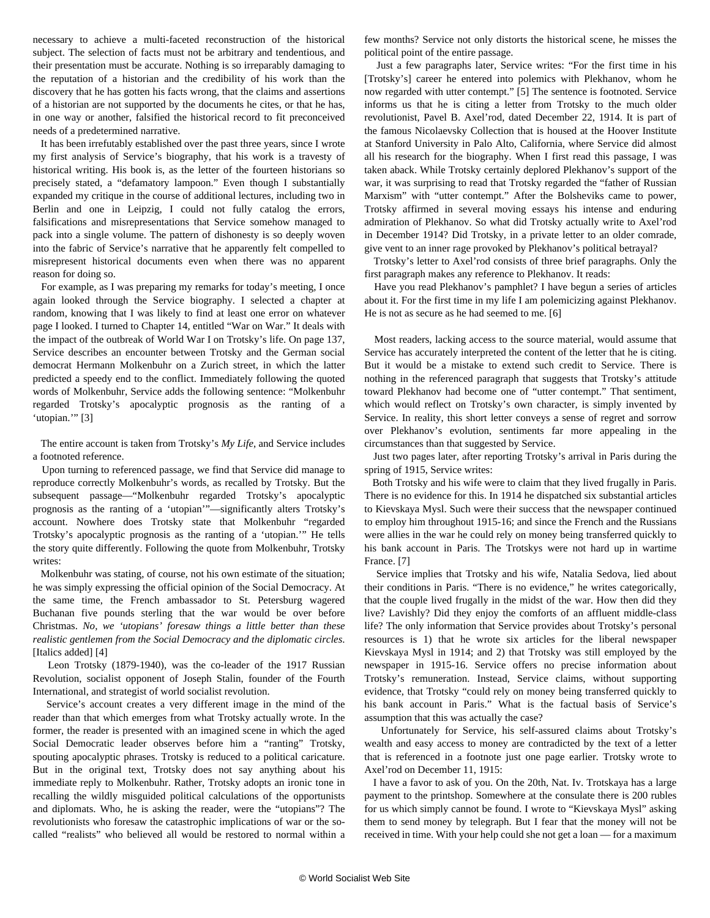<span id="page-1-0"></span>necessary to achieve a multi-faceted reconstruction of the historical subject. The selection of facts must not be arbitrary and tendentious, and their presentation must be accurate. Nothing is so irreparably damaging to the reputation of a historian and the credibility of his work than the discovery that he has gotten his facts wrong, that the claims and assertions of a historian are not supported by the documents he cites, or that he has, in one way or another, falsified the historical record to fit preconceived needs of a predetermined narrative.

 It has been irrefutably established over the past three years, since I wrote my first analysis of Service's biography, that his work is a travesty of historical writing. His book is, as the letter of the fourteen historians so precisely stated, a "defamatory lampoon." Even though I substantially expanded my critique in the course of additional lectures, including two in Berlin and one in Leipzig, I could not fully catalog the errors, falsifications and misrepresentations that Service somehow managed to pack into a single volume. The pattern of dishonesty is so deeply woven into the fabric of Service's narrative that he apparently felt compelled to misrepresent historical documents even when there was no apparent reason for doing so.

 For example, as I was preparing my remarks for today's meeting, I once again looked through the Service biography. I selected a chapter at random, knowing that I was likely to find at least one error on whatever page I looked. I turned to Chapter 14, entitled "War on War." It deals with the impact of the outbreak of World War I on Trotsky's life. On page 137, Service describes an encounter between Trotsky and the German social democrat Hermann Molkenbuhr on a Zurich street, in which the latter predicted a speedy end to the conflict. Immediately following the quoted words of Molkenbuhr, Service adds the following sentence: "Molkenbuhr regarded Trotsky's apocalyptic prognosis as the ranting of a 'utopian.'" [[3](#page-2-0)]

 The entire account is taken from Trotsky's *My Life*, and Service includes a footnoted reference.

 Upon turning to referenced passage, we find that Service did manage to reproduce correctly Molkenbuhr's words, as recalled by Trotsky. But the subsequent passage—"Molkenbuhr regarded Trotsky's apocalyptic prognosis as the ranting of a 'utopian'"—significantly alters Trotsky's account. Nowhere does Trotsky state that Molkenbuhr "regarded Trotsky's apocalyptic prognosis as the ranting of a 'utopian.'" He tells the story quite differently. Following the quote from Molkenbuhr, Trotsky writes:

 Molkenbuhr was stating, of course, not his own estimate of the situation; he was simply expressing the official opinion of the Social Democracy. At the same time, the French ambassador to St. Petersburg wagered Buchanan five pounds sterling that the war would be over before Christmas. *No, we 'utopians' foresaw things a little better than these realistic gentlemen from the Social Democracy and the diplomatic circles*. [Italics added] [4]

 Leon Trotsky (1879-1940), was the co-leader of the 1917 Russian Revolution, socialist opponent of Joseph Stalin, founder of the Fourth International, and strategist of world socialist revolution.

 Service's account creates a very different image in the mind of the reader than that which emerges from what Trotsky actually wrote. In the former, the reader is presented with an imagined scene in which the aged Social Democratic leader observes before him a "ranting" Trotsky, spouting apocalyptic phrases. Trotsky is reduced to a political caricature. But in the original text, Trotsky does not say anything about his immediate reply to Molkenbuhr. Rather, Trotsky adopts an ironic tone in recalling the wildly misguided political calculations of the opportunists and diplomats. Who, he is asking the reader, were the "utopians"? The revolutionists who foresaw the catastrophic implications of war or the socalled "realists" who believed all would be restored to normal within a

few months? Service not only distorts the historical scene, he misses the political point of the entire passage.

 Just a few paragraphs later, Service writes: "For the first time in his [Trotsky's] career he entered into polemics with Plekhanov, whom he now regarded with utter contempt." [5] The sentence is footnoted. Service informs us that he is citing a letter from Trotsky to the much older revolutionist, Pavel B. Axel'rod, dated December 22, 1914. It is part of the famous Nicolaevsky Collection that is housed at the Hoover Institute at Stanford University in Palo Alto, California, where Service did almost all his research for the biography. When I first read this passage, I was taken aback. While Trotsky certainly deplored Plekhanov's support of the war, it was surprising to read that Trotsky regarded the "father of Russian Marxism" with "utter contempt." After the Bolsheviks came to power, Trotsky affirmed in several moving essays his intense and enduring admiration of Plekhanov. So what did Trotsky actually write to Axel'rod in December 1914? Did Trotsky, in a private letter to an older comrade, give vent to an inner rage provoked by Plekhanov's political betrayal?

 Trotsky's letter to Axel'rod consists of three brief paragraphs. Only the first paragraph makes any reference to Plekhanov. It reads:

 Have you read Plekhanov's pamphlet? I have begun a series of articles about it. For the first time in my life I am polemicizing against Plekhanov. He is not as secure as he had seemed to me. [6]

 Most readers, lacking access to the source material, would assume that Service has accurately interpreted the content of the letter that he is citing. But it would be a mistake to extend such credit to Service. There is nothing in the referenced paragraph that suggests that Trotsky's attitude toward Plekhanov had become one of "utter contempt." That sentiment, which would reflect on Trotsky's own character, is simply invented by Service. In reality, this short letter conveys a sense of regret and sorrow over Plekhanov's evolution, sentiments far more appealing in the circumstances than that suggested by Service.

 Just two pages later, after reporting Trotsky's arrival in Paris during the spring of 1915, Service writes:

 Both Trotsky and his wife were to claim that they lived frugally in Paris. There is no evidence for this. In 1914 he dispatched six substantial articles to Kievskaya Mysl. Such were their success that the newspaper continued to employ him throughout 1915-16; and since the French and the Russians were allies in the war he could rely on money being transferred quickly to his bank account in Paris. The Trotskys were not hard up in wartime France. [7]

 Service implies that Trotsky and his wife, Natalia Sedova, lied about their conditions in Paris. "There is no evidence," he writes categorically, that the couple lived frugally in the midst of the war. How then did they live? Lavishly? Did they enjoy the comforts of an affluent middle-class life? The only information that Service provides about Trotsky's personal resources is 1) that he wrote six articles for the liberal newspaper Kievskaya Mysl in 1914; and 2) that Trotsky was still employed by the newspaper in 1915-16. Service offers no precise information about Trotsky's remuneration. Instead, Service claims, without supporting evidence, that Trotsky "could rely on money being transferred quickly to his bank account in Paris." What is the factual basis of Service's assumption that this was actually the case?

 Unfortunately for Service, his self-assured claims about Trotsky's wealth and easy access to money are contradicted by the text of a letter that is referenced in a footnote just one page earlier. Trotsky wrote to Axel'rod on December 11, 1915:

 I have a favor to ask of you. On the 20th, Nat. Iv. Trotskaya has a large payment to the printshop. Somewhere at the consulate there is 200 rubles for us which simply cannot be found. I wrote to "Kievskaya Mysl" asking them to send money by telegraph. But I fear that the money will not be received in time. With your help could she not get a loan — for a maximum